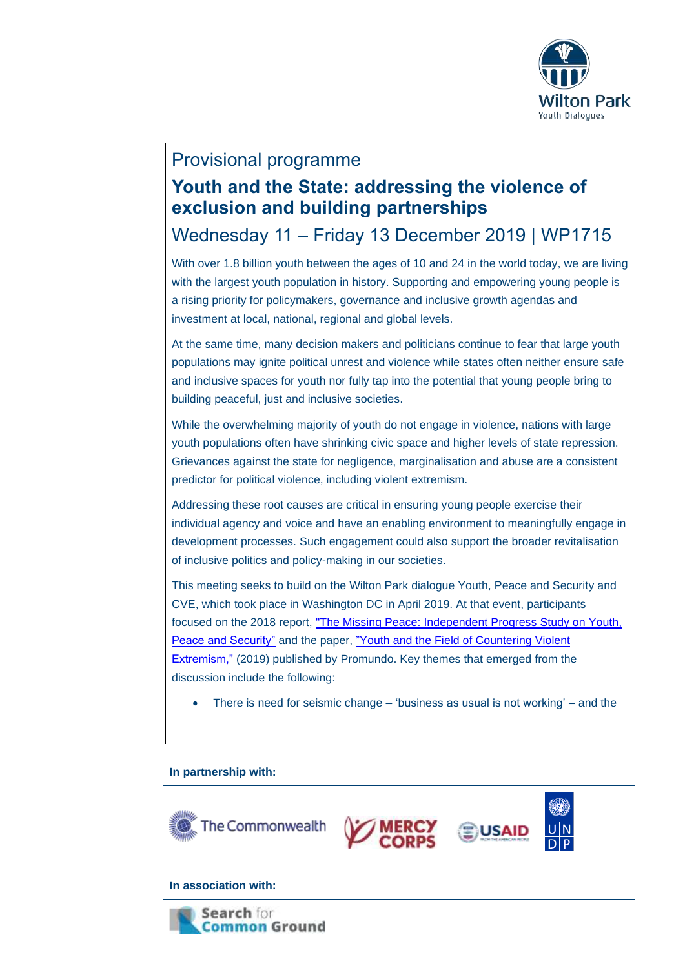

### Provisional programme

## **Youth and the State: addressing the violence of exclusion and building partnerships**

# Wednesday 11 – Friday 13 December 2019 | WP1715

With over 1.8 billion youth between the ages of 10 and 24 in the world today, we are living with the largest youth population in history. Supporting and empowering young people is a rising priority for policymakers, governance and inclusive growth agendas and investment at local, national, regional and global levels.

At the same time, many decision makers and politicians continue to fear that large youth populations may ignite political unrest and violence while states often neither ensure safe and inclusive spaces for youth nor fully tap into the potential that young people bring to building peaceful, just and inclusive societies.

While the overwhelming majority of youth do not engage in violence, nations with large youth populations often have shrinking civic space and higher levels of state repression. Grievances against the state for negligence, marginalisation and abuse are a consistent predictor for political violence, including violent extremism.

Addressing these root causes are critical in ensuring young people exercise their individual agency and voice and have an enabling environment to meaningfully engage in development processes. Such engagement could also support the broader revitalisation of inclusive politics and policy-making in our societies.

This meeting seeks to build on the Wilton Park dialogue Youth, Peace and Security and CVE, which took place in Washington DC in April 2019. At that event, participants focused on the 2018 report, ["The Missing Peace: Independent Progress Study on Youth,](https://www.unfpa.org/sites/default/files/youth/youth-web-english.pdf)  [Peace and Security"](https://www.unfpa.org/sites/default/files/youth/youth-web-english.pdf) and the paper, ["Youth and the Field of Countering Violent](https://promundoglobal.org/resources/youth-and-the-field-of-countering-violent-extremism/)  [Extremism,"](https://promundoglobal.org/resources/youth-and-the-field-of-countering-violent-extremism/) (2019) published by Promundo. Key themes that emerged from the discussion include the following:

• There is need for seismic change – 'business as usual is not working' – and the

#### **In partnership with:**



#### **In association with:**

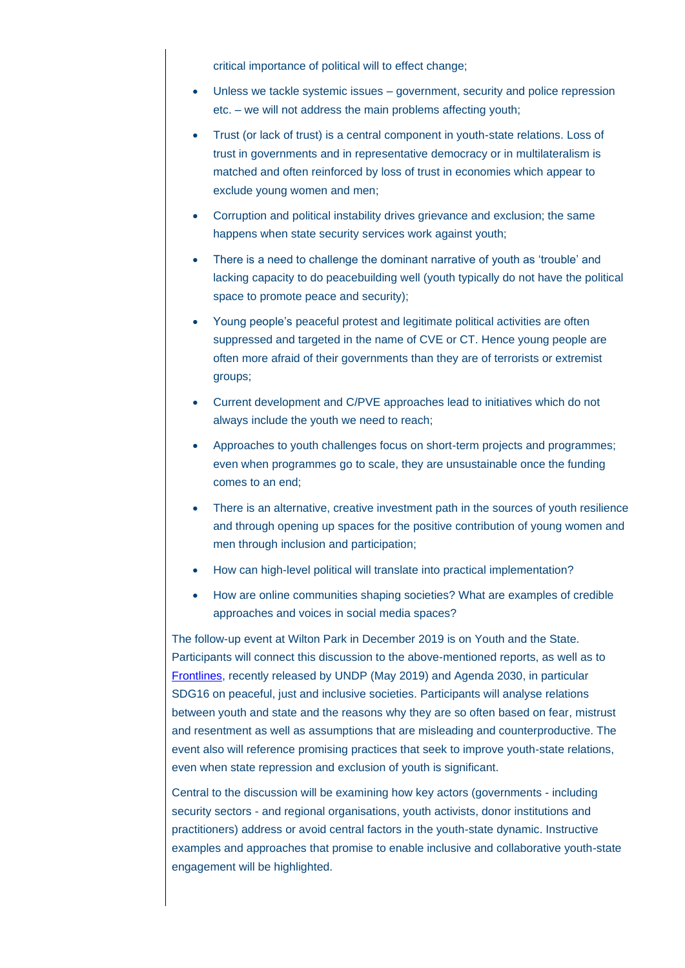critical importance of political will to effect change;

- Unless we tackle systemic issues government, security and police repression etc. – we will not address the main problems affecting youth;
- Trust (or lack of trust) is a central component in youth-state relations. Loss of trust in governments and in representative democracy or in multilateralism is matched and often reinforced by loss of trust in economies which appear to exclude young women and men;
- Corruption and political instability drives grievance and exclusion; the same happens when state security services work against youth;
- There is a need to challenge the dominant narrative of youth as 'trouble' and lacking capacity to do peacebuilding well (youth typically do not have the political space to promote peace and security);
- Young people's peaceful protest and legitimate political activities are often suppressed and targeted in the name of CVE or CT. Hence young people are often more afraid of their governments than they are of terrorists or extremist groups;
- Current development and C/PVE approaches lead to initiatives which do not always include the youth we need to reach;
- Approaches to youth challenges focus on short-term projects and programmes; even when programmes go to scale, they are unsustainable once the funding comes to an end;
- There is an alternative, creative investment path in the sources of youth resilience and through opening up spaces for the positive contribution of young women and men through inclusion and participation;
- How can high-level political will translate into practical implementation?
- How are online communities shaping societies? What are examples of credible approaches and voices in social media spaces?

The follow-up event at Wilton Park in December 2019 is on Youth and the State. Participants will connect this discussion to the above-mentioned reports, as well as to [Frontlines,](https://www.undp.org/content/dam/undp/library/Democratic%20Governance/Youth/FRONTLINES-WEB.pdf) recently released by UNDP (May 2019) and Agenda 2030, in particular SDG16 on peaceful, just and inclusive societies. Participants will analyse relations between youth and state and the reasons why they are so often based on fear, mistrust and resentment as well as assumptions that are misleading and counterproductive. The event also will reference promising practices that seek to improve youth-state relations, even when state repression and exclusion of youth is significant.

Central to the discussion will be examining how key actors (governments - including security sectors - and regional organisations, youth activists, donor institutions and practitioners) address or avoid central factors in the youth-state dynamic. Instructive examples and approaches that promise to enable inclusive and collaborative youth-state engagement will be highlighted.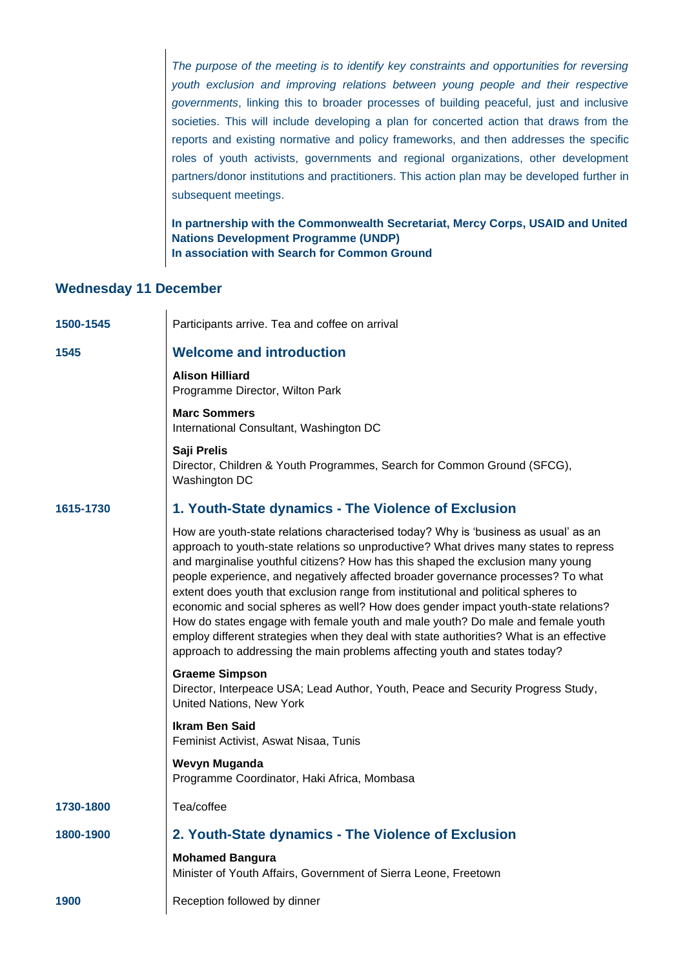*The purpose of the meeting is to identify key constraints and opportunities for reversing youth exclusion and improving relations between young people and their respective governments*, linking this to broader processes of building peaceful, just and inclusive societies. This will include developing a plan for concerted action that draws from the reports and existing normative and policy frameworks, and then addresses the specific roles of youth activists, governments and regional organizations, other development partners/donor institutions and practitioners. This action plan may be developed further in subsequent meetings.

**In partnership with the Commonwealth Secretariat, Mercy Corps, USAID and United Nations Development Programme (UNDP) In association with Search for Common Ground**

#### **Wednesday 11 December**

 $\mathbf{I}$ 

| 1500-1545 | Participants arrive. Tea and coffee on arrival                                                                                                                                                                                                                                                                                                                                                                                                                                                                                                                                                                                                                                                                                                                                              |
|-----------|---------------------------------------------------------------------------------------------------------------------------------------------------------------------------------------------------------------------------------------------------------------------------------------------------------------------------------------------------------------------------------------------------------------------------------------------------------------------------------------------------------------------------------------------------------------------------------------------------------------------------------------------------------------------------------------------------------------------------------------------------------------------------------------------|
| 1545      | <b>Welcome and introduction</b>                                                                                                                                                                                                                                                                                                                                                                                                                                                                                                                                                                                                                                                                                                                                                             |
|           | <b>Alison Hilliard</b><br>Programme Director, Wilton Park                                                                                                                                                                                                                                                                                                                                                                                                                                                                                                                                                                                                                                                                                                                                   |
|           | <b>Marc Sommers</b><br>International Consultant, Washington DC                                                                                                                                                                                                                                                                                                                                                                                                                                                                                                                                                                                                                                                                                                                              |
|           | Saji Prelis<br>Director, Children & Youth Programmes, Search for Common Ground (SFCG),<br>Washington DC                                                                                                                                                                                                                                                                                                                                                                                                                                                                                                                                                                                                                                                                                     |
| 1615-1730 | 1. Youth-State dynamics - The Violence of Exclusion                                                                                                                                                                                                                                                                                                                                                                                                                                                                                                                                                                                                                                                                                                                                         |
|           | How are youth-state relations characterised today? Why is 'business as usual' as an<br>approach to youth-state relations so unproductive? What drives many states to repress<br>and marginalise youthful citizens? How has this shaped the exclusion many young<br>people experience, and negatively affected broader governance processes? To what<br>extent does youth that exclusion range from institutional and political spheres to<br>economic and social spheres as well? How does gender impact youth-state relations?<br>How do states engage with female youth and male youth? Do male and female youth<br>employ different strategies when they deal with state authorities? What is an effective<br>approach to addressing the main problems affecting youth and states today? |
|           | <b>Graeme Simpson</b><br>Director, Interpeace USA; Lead Author, Youth, Peace and Security Progress Study,<br>United Nations, New York                                                                                                                                                                                                                                                                                                                                                                                                                                                                                                                                                                                                                                                       |
|           | <b>Ikram Ben Said</b><br>Feminist Activist, Aswat Nisaa, Tunis                                                                                                                                                                                                                                                                                                                                                                                                                                                                                                                                                                                                                                                                                                                              |
|           | Wevyn Muganda<br>Programme Coordinator, Haki Africa, Mombasa                                                                                                                                                                                                                                                                                                                                                                                                                                                                                                                                                                                                                                                                                                                                |
| 1730-1800 | Tea/coffee                                                                                                                                                                                                                                                                                                                                                                                                                                                                                                                                                                                                                                                                                                                                                                                  |
| 1800-1900 | 2. Youth-State dynamics - The Violence of Exclusion                                                                                                                                                                                                                                                                                                                                                                                                                                                                                                                                                                                                                                                                                                                                         |
|           | <b>Mohamed Bangura</b><br>Minister of Youth Affairs, Government of Sierra Leone, Freetown                                                                                                                                                                                                                                                                                                                                                                                                                                                                                                                                                                                                                                                                                                   |
| 1900      | Reception followed by dinner                                                                                                                                                                                                                                                                                                                                                                                                                                                                                                                                                                                                                                                                                                                                                                |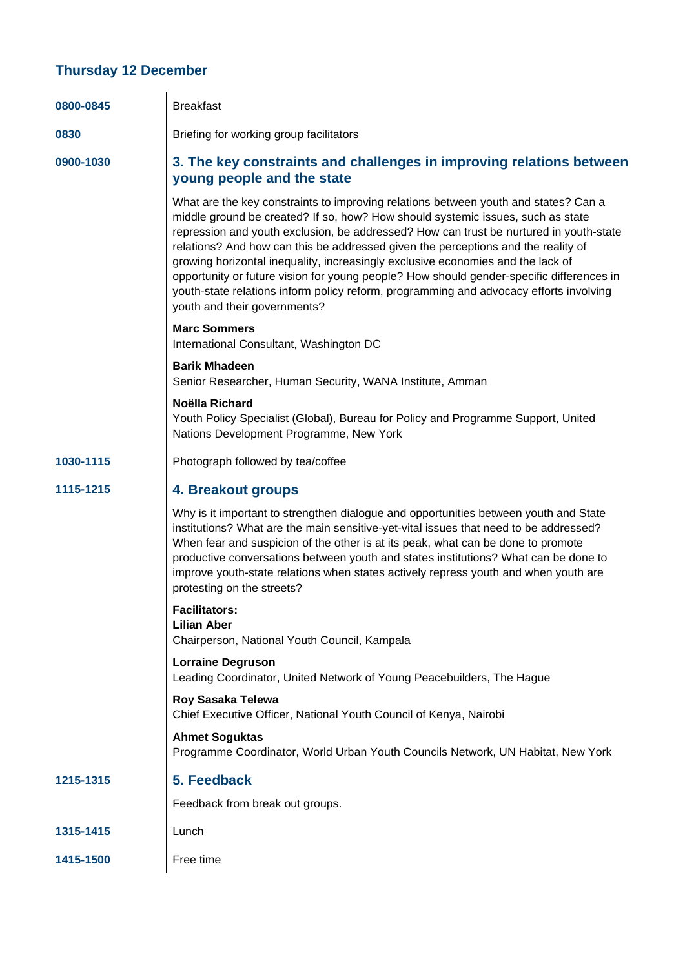### **Thursday 12 December**

| 0800-0845 | <b>Breakfast</b>                                                                                                                                                                                                                                                                                                                                                                                                                                                                                                                                                                                                                                               |
|-----------|----------------------------------------------------------------------------------------------------------------------------------------------------------------------------------------------------------------------------------------------------------------------------------------------------------------------------------------------------------------------------------------------------------------------------------------------------------------------------------------------------------------------------------------------------------------------------------------------------------------------------------------------------------------|
| 0830      | Briefing for working group facilitators                                                                                                                                                                                                                                                                                                                                                                                                                                                                                                                                                                                                                        |
| 0900-1030 | 3. The key constraints and challenges in improving relations between<br>young people and the state                                                                                                                                                                                                                                                                                                                                                                                                                                                                                                                                                             |
|           | What are the key constraints to improving relations between youth and states? Can a<br>middle ground be created? If so, how? How should systemic issues, such as state<br>repression and youth exclusion, be addressed? How can trust be nurtured in youth-state<br>relations? And how can this be addressed given the perceptions and the reality of<br>growing horizontal inequality, increasingly exclusive economies and the lack of<br>opportunity or future vision for young people? How should gender-specific differences in<br>youth-state relations inform policy reform, programming and advocacy efforts involving<br>youth and their governments? |
|           | <b>Marc Sommers</b><br>International Consultant, Washington DC                                                                                                                                                                                                                                                                                                                                                                                                                                                                                                                                                                                                 |
|           | <b>Barik Mhadeen</b><br>Senior Researcher, Human Security, WANA Institute, Amman                                                                                                                                                                                                                                                                                                                                                                                                                                                                                                                                                                               |
|           | Noëlla Richard<br>Youth Policy Specialist (Global), Bureau for Policy and Programme Support, United<br>Nations Development Programme, New York                                                                                                                                                                                                                                                                                                                                                                                                                                                                                                                 |
| 1030-1115 | Photograph followed by tea/coffee                                                                                                                                                                                                                                                                                                                                                                                                                                                                                                                                                                                                                              |
| 1115-1215 | 4. Breakout groups                                                                                                                                                                                                                                                                                                                                                                                                                                                                                                                                                                                                                                             |
|           | Why is it important to strengthen dialogue and opportunities between youth and State<br>institutions? What are the main sensitive-yet-vital issues that need to be addressed?<br>When fear and suspicion of the other is at its peak, what can be done to promote<br>productive conversations between youth and states institutions? What can be done to<br>improve youth-state relations when states actively repress youth and when youth are<br>protesting on the streets?                                                                                                                                                                                  |
|           | <b>Facilitators:</b><br><b>Lilian Aber</b><br>Chairperson, National Youth Council, Kampala                                                                                                                                                                                                                                                                                                                                                                                                                                                                                                                                                                     |
|           | <b>Lorraine Degruson</b><br>Leading Coordinator, United Network of Young Peacebuilders, The Hague                                                                                                                                                                                                                                                                                                                                                                                                                                                                                                                                                              |
|           | Roy Sasaka Telewa<br>Chief Executive Officer, National Youth Council of Kenya, Nairobi                                                                                                                                                                                                                                                                                                                                                                                                                                                                                                                                                                         |
|           | <b>Ahmet Soguktas</b><br>Programme Coordinator, World Urban Youth Councils Network, UN Habitat, New York                                                                                                                                                                                                                                                                                                                                                                                                                                                                                                                                                       |
| 1215-1315 | 5. Feedback                                                                                                                                                                                                                                                                                                                                                                                                                                                                                                                                                                                                                                                    |
|           | Feedback from break out groups.                                                                                                                                                                                                                                                                                                                                                                                                                                                                                                                                                                                                                                |
| 1315-1415 | Lunch                                                                                                                                                                                                                                                                                                                                                                                                                                                                                                                                                                                                                                                          |
| 1415-1500 | Free time                                                                                                                                                                                                                                                                                                                                                                                                                                                                                                                                                                                                                                                      |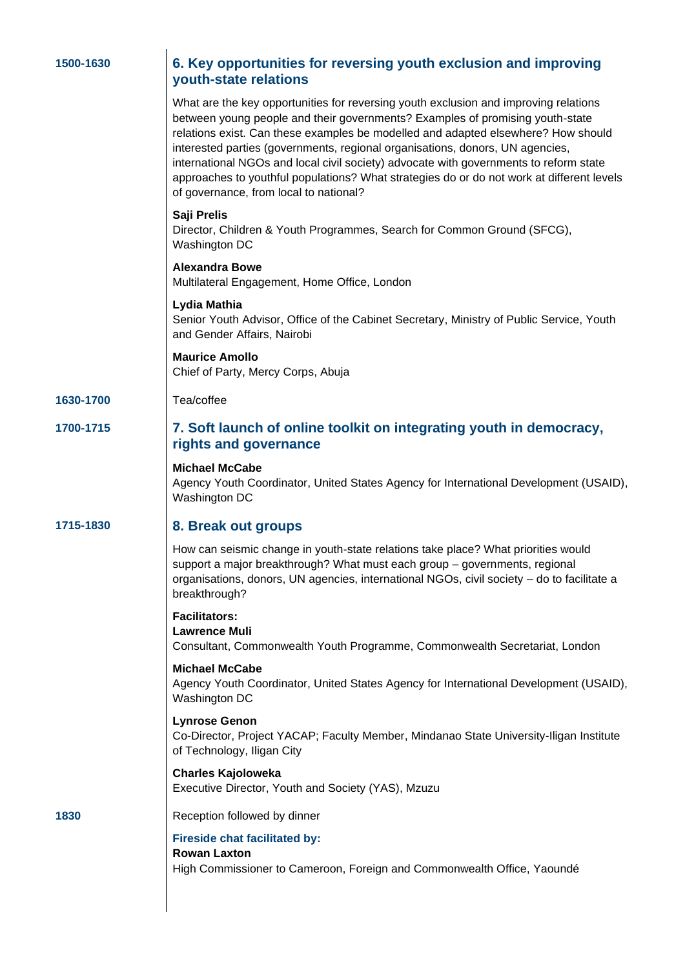| 1500-1630 | 6. Key opportunities for reversing youth exclusion and improving<br>youth-state relations                                                                                                                                                                                                                                                                                                                                                                                                                                                                                   |
|-----------|-----------------------------------------------------------------------------------------------------------------------------------------------------------------------------------------------------------------------------------------------------------------------------------------------------------------------------------------------------------------------------------------------------------------------------------------------------------------------------------------------------------------------------------------------------------------------------|
|           | What are the key opportunities for reversing youth exclusion and improving relations<br>between young people and their governments? Examples of promising youth-state<br>relations exist. Can these examples be modelled and adapted elsewhere? How should<br>interested parties (governments, regional organisations, donors, UN agencies,<br>international NGOs and local civil society) advocate with governments to reform state<br>approaches to youthful populations? What strategies do or do not work at different levels<br>of governance, from local to national? |
|           | Saji Prelis<br>Director, Children & Youth Programmes, Search for Common Ground (SFCG),<br>Washington DC                                                                                                                                                                                                                                                                                                                                                                                                                                                                     |
|           | <b>Alexandra Bowe</b><br>Multilateral Engagement, Home Office, London                                                                                                                                                                                                                                                                                                                                                                                                                                                                                                       |
|           | Lydia Mathia<br>Senior Youth Advisor, Office of the Cabinet Secretary, Ministry of Public Service, Youth<br>and Gender Affairs, Nairobi                                                                                                                                                                                                                                                                                                                                                                                                                                     |
|           | <b>Maurice Amollo</b><br>Chief of Party, Mercy Corps, Abuja                                                                                                                                                                                                                                                                                                                                                                                                                                                                                                                 |
| 1630-1700 | Tea/coffee                                                                                                                                                                                                                                                                                                                                                                                                                                                                                                                                                                  |
| 1700-1715 | 7. Soft launch of online toolkit on integrating youth in democracy,<br>rights and governance                                                                                                                                                                                                                                                                                                                                                                                                                                                                                |
|           | <b>Michael McCabe</b><br>Agency Youth Coordinator, United States Agency for International Development (USAID),<br>Washington DC                                                                                                                                                                                                                                                                                                                                                                                                                                             |
| 1715-1830 | 8. Break out groups                                                                                                                                                                                                                                                                                                                                                                                                                                                                                                                                                         |
|           | How can seismic change in youth-state relations take place? What priorities would<br>support a major breakthrough? What must each group - governments, regional<br>organisations, donors, UN agencies, international NGOs, civil society - do to facilitate a<br>breakthrough?                                                                                                                                                                                                                                                                                              |
|           | <b>Facilitators:</b><br><b>Lawrence Muli</b><br>Consultant, Commonwealth Youth Programme, Commonwealth Secretariat, London                                                                                                                                                                                                                                                                                                                                                                                                                                                  |
|           | <b>Michael McCabe</b><br>Agency Youth Coordinator, United States Agency for International Development (USAID),<br>Washington DC                                                                                                                                                                                                                                                                                                                                                                                                                                             |
|           | <b>Lynrose Genon</b><br>Co-Director, Project YACAP; Faculty Member, Mindanao State University-Iligan Institute<br>of Technology, Iligan City                                                                                                                                                                                                                                                                                                                                                                                                                                |
|           | <b>Charles Kajoloweka</b><br>Executive Director, Youth and Society (YAS), Mzuzu                                                                                                                                                                                                                                                                                                                                                                                                                                                                                             |
| 1830      | Reception followed by dinner                                                                                                                                                                                                                                                                                                                                                                                                                                                                                                                                                |
|           | <b>Fireside chat facilitated by:</b><br><b>Rowan Laxton</b><br>High Commissioner to Cameroon, Foreign and Commonwealth Office, Yaoundé                                                                                                                                                                                                                                                                                                                                                                                                                                      |
|           |                                                                                                                                                                                                                                                                                                                                                                                                                                                                                                                                                                             |